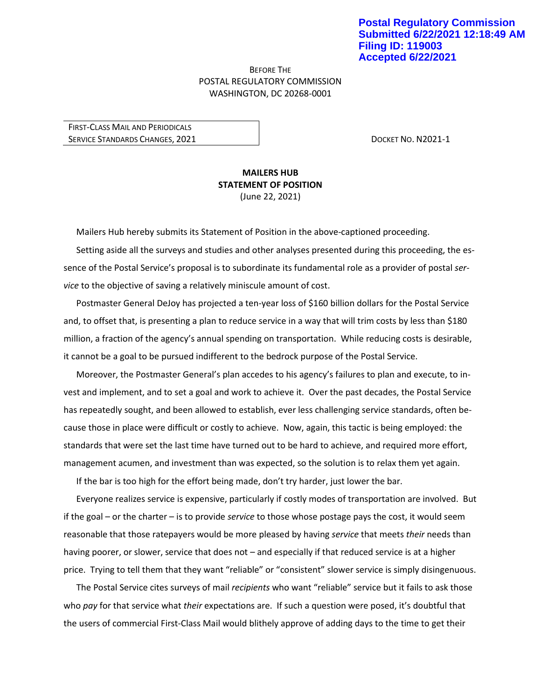## BEFORE THE POSTAL REGULATORY COMMISSION WASHINGTON, DC 20268-0001

FIRST-CLASS MAIL AND PERIODICALS SERVICE STANDARDS CHANGES, 2021 **DOCKET NO. N2021-1** 

## **MAILERS HUB STATEMENT OF POSITION** (June 22, 2021)

Mailers Hub hereby submits its Statement of Position in the above-captioned proceeding.

Setting aside all the surveys and studies and other analyses presented during this proceeding, the essence of the Postal Service's proposal is to subordinate its fundamental role as a provider of postal *service* to the objective of saving a relatively miniscule amount of cost.

Postmaster General DeJoy has projected a ten-year loss of \$160 billion dollars for the Postal Service and, to offset that, is presenting a plan to reduce service in a way that will trim costs by less than \$180 million, a fraction of the agency's annual spending on transportation. While reducing costs is desirable, it cannot be a goal to be pursued indifferent to the bedrock purpose of the Postal Service.

Moreover, the Postmaster General's plan accedes to his agency's failures to plan and execute, to invest and implement, and to set a goal and work to achieve it. Over the past decades, the Postal Service has repeatedly sought, and been allowed to establish, ever less challenging service standards, often because those in place were difficult or costly to achieve. Now, again, this tactic is being employed: the standards that were set the last time have turned out to be hard to achieve, and required more effort, management acumen, and investment than was expected, so the solution is to relax them yet again.

If the bar is too high for the effort being made, don't try harder, just lower the bar.

Everyone realizes service is expensive, particularly if costly modes of transportation are involved. But if the goal – or the charter – is to provide *service* to those whose postage pays the cost, it would seem reasonable that those ratepayers would be more pleased by having *service* that meets *their* needs than having poorer, or slower, service that does not – and especially if that reduced service is at a higher price. Trying to tell them that they want "reliable" or "consistent" slower service is simply disingenuous.

The Postal Service cites surveys of mail *recipients* who want "reliable" service but it fails to ask those who *pay* for that service what *their* expectations are. If such a question were posed, it's doubtful that the users of commercial First-Class Mail would blithely approve of adding days to the time to get their